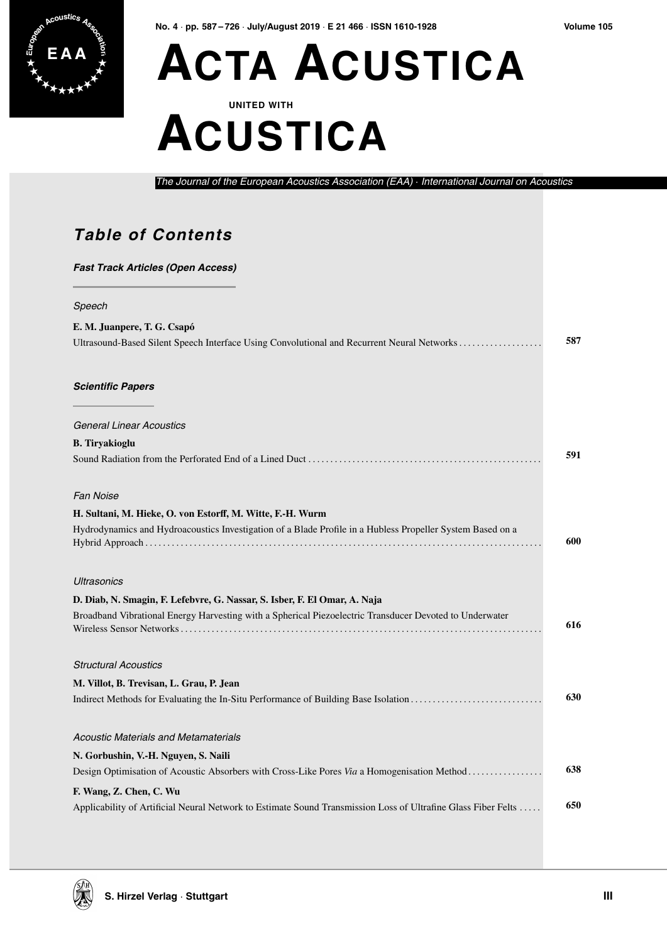

**No. 4** · **pp. 587 – 726** · **July/August 2019** · **E 21 466** · **ISSN 1610-1928 Volume 105**

# **E A A ACTA ACUSTICA**

**UNITED WITH**

### **ACUSTICA**

*The Journal of the European Acoustics Association (EAA)* · *International Journal on Acoustics*

#### **Table of Contents**

| <b>Fast Track Articles (Open Access)</b>                                                                      |     |
|---------------------------------------------------------------------------------------------------------------|-----|
| Speech                                                                                                        |     |
| E. M. Juanpere, T. G. Csapó                                                                                   |     |
| Ultrasound-Based Silent Speech Interface Using Convolutional and Recurrent Neural Networks                    | 587 |
| <b>Scientific Papers</b>                                                                                      |     |
| <b>General Linear Acoustics</b>                                                                               |     |
| <b>B.</b> Tiryakioglu                                                                                         |     |
|                                                                                                               | 591 |
| Fan Noise                                                                                                     |     |
| H. Sultani, M. Hieke, O. von Estorff, M. Witte, F.-H. Wurm                                                    |     |
| Hydrodynamics and Hydroacoustics Investigation of a Blade Profile in a Hubless Propeller System Based on a    | 600 |
| Ultrasonics                                                                                                   |     |
| D. Diab, N. Smagin, F. Lefebvre, G. Nassar, S. Isber, F. El Omar, A. Naja                                     |     |
| Broadband Vibrational Energy Harvesting with a Spherical Piezoelectric Transducer Devoted to Underwater       | 616 |
| <b>Structural Acoustics</b>                                                                                   |     |
| M. Villot, B. Trevisan, L. Grau, P. Jean                                                                      |     |
| Indirect Methods for Evaluating the In-Situ Performance of Building Base Isolation                            | 630 |
| Acoustic Materials and Metamaterials                                                                          |     |
| N. Gorbushin, V.-H. Nguyen, S. Naili                                                                          |     |
| Design Optimisation of Acoustic Absorbers with Cross-Like Pores Via a Homogenisation Method                   | 638 |
| F. Wang, Z. Chen, C. Wu                                                                                       |     |
| Applicability of Artificial Neural Network to Estimate Sound Transmission Loss of Ultrafine Glass Fiber Felts | 650 |